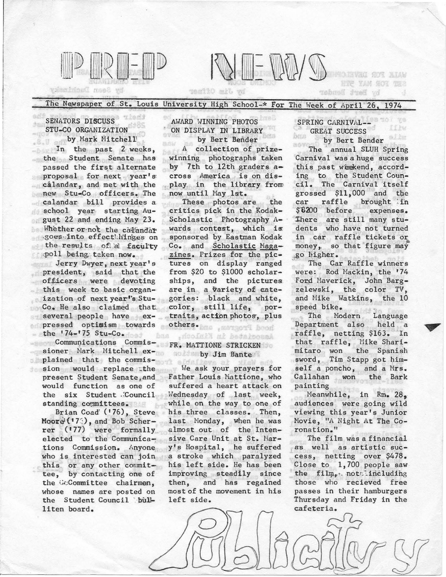

Testlo mit vd

 $\| \cdot \| - \sqrt{N}$ 

#### SENATORS DISCUSS **Tiend** STU-CO ORGANIZATION

Sound May 1988

by Mark Mitchell

 $\|\psi\|$  -

In the past 2 weeks, the Student Senate has passed the first alternate proposal for next year's calandar, and met with the new Stu-Co officers. The calandar bill provides a school year starting August 22 and ending May 23. Whether or not the callandar goes into effect hinges on the results of a faculty poll being taken now.

Jerry Dwyer, next year's president, said that the officers were devoting this week to basic organization of next year''s:.Stutial Co. He also claimed that several people have expressed optimism towards the '74-'75 Stu-Co. hrua

Communications Commissioner Mark Mitchell ex- $200$ plained that the commisoh sion would replace the present Student Senate, and would function as one of the six Student Council standing committees.

their

Brian Coad' ('76), Steve Moore  $(17)$ , and Bob Scherrer (•77) were formally . elected to the Communications Commission. Anyone who is interested can join this or any other committee, by contacting one of the GoCommittee chairmen, whose names are posted on the Student Council ' bulJliten board.

AWARD WINNING PHOTOS ON DISPLAY IN LIBRARY by Bert Bender

A collection of prizewinning photographs taken by 7th to 12th graders across America is on display. in the library from• now until May 1st.

These photos are the critics pick in the Kodak-Scholastic Photography Awards contest, which is sponsored by Eastman Kodak Co. and Scholastic Magazines. Prizes for the pictures on display ranged from \$20 to \$1000 scholarships, and the picturea are in a variety of categories: black and white, color, still life, portraits, action photos, plus others. has . margeril heod

### FR. MATTIONE STRICKEN by Jim Bante

Associable in Kinlocak

We ask your prayers for .Father Louis Mattione, who suffered a heart attack on Wednesday of last week, while on the way to one of his three classes. Then, last Nonday, when he was almost out of the Intensive Care Unit at St. Mary's Hospital, he suffered a stroke which paralyzed his left side. He has been improving steadily since then, and has regained most of the movement in his left side.

SPRING CARNIVAL--**GREAT SUCCESS** Barriot

by Bert Bender

by Bert Bender The annual SLUH Spring Carnival was a huge success this past wæekend, according to the Student Council. The Carnival itself grossed  $$11,000$  and the car raffle brought in \$'6200 before expenses. There are still many students who. have not turned in car raffle tickets or money, so that figure may ,\_go· higher.

OUNTREE ROS MILAN HTW YAM HOT TWO

**Thu** 

The Car Raffle winners were: Rod Mackin, the '74 Ford Maverick, John Bargzelewski, the color TV, and Mike Watkins, the 10 speed bike.

The Modern Language Department also held a raffle, netting \$163. In that raffle, Mike Sharimitaro won the Spanish sword, Tim Stapp got himself a poncho, and a Mrs. Callahan won the Bark painting

Meanwhile, in Rm. 28. audiences were going wild viewing this year's Junior Movie, "A Night At The Coronation."

The film was a financial as well as artistic success, netting over \$478. Close to  $1,700$  people saw the film, note including those who recieved free passes in their hamburgers Thursday and Friday in the cafeteria.